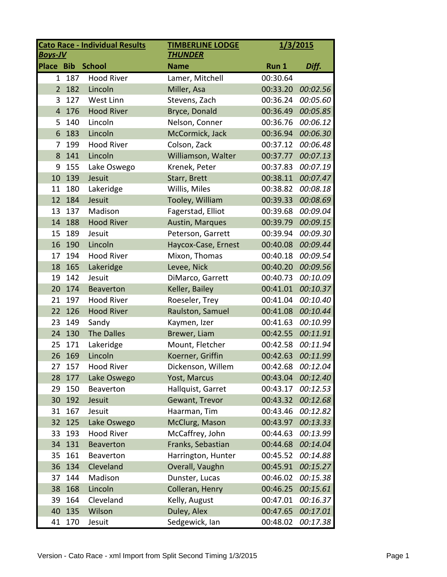| <b>Boys-JV</b>   |       | <b>Cato Race - Individual Results</b> | <b>TIMBERLINE LODGE</b><br><b>THUNDER</b> |          | 1/3/2015 |  |
|------------------|-------|---------------------------------------|-------------------------------------------|----------|----------|--|
| <b>Place Bib</b> |       | <b>School</b>                         | <b>Name</b>                               | Run 1    | Diff.    |  |
|                  | 1 187 | <b>Hood River</b>                     | Lamer, Mitchell                           | 00:30.64 |          |  |
| $\overline{2}$   | 182   | Lincoln                               | Miller, Asa                               | 00:33.20 | 00:02.56 |  |
| 3                | 127   | West Linn                             | Stevens, Zach                             | 00:36.24 | 00:05.60 |  |
| $\overline{4}$   | 176   | <b>Hood River</b>                     | Bryce, Donald                             | 00:36.49 | 00:05.85 |  |
| 5                | 140   | Lincoln                               | Nelson, Conner                            | 00:36.76 | 00:06.12 |  |
| 6                | 183   | Lincoln                               | McCormick, Jack                           | 00:36.94 | 00:06.30 |  |
| 7                | 199   | <b>Hood River</b>                     | Colson, Zack                              | 00:37.12 | 00:06.48 |  |
| 8                | 141   | Lincoln                               | Williamson, Walter                        | 00:37.77 | 00:07.13 |  |
| 9                | 155   | Lake Oswego                           | Krenek, Peter                             | 00:37.83 | 00:07.19 |  |
| 10               | 139   | Jesuit                                | Starr, Brett                              | 00:38.11 | 00:07.47 |  |
| 11               | 180   | Lakeridge                             | Willis, Miles                             | 00:38.82 | 00:08.18 |  |
| 12               | 184   | Jesuit                                | Tooley, William                           | 00:39.33 | 00:08.69 |  |
| 13               | 137   | Madison                               | Fagerstad, Elliot                         | 00:39.68 | 00:09.04 |  |
| 14               | 188   | <b>Hood River</b>                     | Austin, Marques                           | 00:39.79 | 00:09.15 |  |
| 15               | 189   | Jesuit                                | Peterson, Garrett                         | 00:39.94 | 00:09.30 |  |
| 16               | 190   | Lincoln                               | Haycox-Case, Ernest                       | 00:40.08 | 00:09.44 |  |
| 17               | 194   | <b>Hood River</b>                     | Mixon, Thomas                             | 00:40.18 | 00:09.54 |  |
| 18               | 165   | Lakeridge                             | Levee, Nick                               | 00:40.20 | 00:09.56 |  |
| 19               | 142   | Jesuit                                | DiMarco, Garrett                          | 00:40.73 | 00:10.09 |  |
| 20               | 174   | <b>Beaverton</b>                      | Keller, Bailey                            | 00:41.01 | 00:10.37 |  |
| 21               | 197   | <b>Hood River</b>                     | Roeseler, Trey                            | 00:41.04 | 00:10.40 |  |
| 22               | 126   | <b>Hood River</b>                     | Raulston, Samuel                          | 00:41.08 | 00:10.44 |  |
| 23               | 149   | Sandy                                 | Kaymen, Izer                              | 00:41.63 | 00:10.99 |  |
| 24               | 130   | <b>The Dalles</b>                     | Brewer, Liam                              | 00:42.55 | 00:11.91 |  |
| 25               | 171   | Lakeridge                             | Mount, Fletcher                           | 00:42.58 | 00:11.94 |  |
| 26               | 169   | Lincoln                               | Koerner, Griffin                          | 00:42.63 | 00:11.99 |  |
| 27               | 157   | <b>Hood River</b>                     | Dickenson, Willem                         | 00:42.68 | 00:12.04 |  |
| 28               | 177   | Lake Oswego                           | Yost, Marcus                              | 00:43.04 | 00:12.40 |  |
| 29               | 150   | Beaverton                             | Hallquist, Garret                         | 00:43.17 | 00:12.53 |  |
| 30               | 192   | Jesuit                                | Gewant, Trevor                            | 00:43.32 | 00:12.68 |  |
| 31               | 167   | Jesuit                                | Haarman, Tim                              | 00:43.46 | 00:12.82 |  |
| 32               | 125   | Lake Oswego                           | McClurg, Mason                            | 00:43.97 | 00:13.33 |  |
| 33               | 193   | <b>Hood River</b>                     | McCaffrey, John                           | 00:44.63 | 00:13.99 |  |
| 34               | 131   | <b>Beaverton</b>                      | Franks, Sebastian                         | 00:44.68 | 00:14.04 |  |
| 35               | 161   | <b>Beaverton</b>                      | Harrington, Hunter                        | 00:45.52 | 00:14.88 |  |
| 36               | 134   | Cleveland                             | Overall, Vaughn                           | 00:45.91 | 00:15.27 |  |
| 37               | 144   | Madison                               | Dunster, Lucas                            | 00:46.02 | 00:15.38 |  |
| 38               | 168   | Lincoln                               | Colleran, Henry                           | 00:46.25 | 00:15.61 |  |
| 39               | 164   | Cleveland                             | Kelly, August                             | 00:47.01 | 00:16.37 |  |
| 40               | 135   | Wilson                                | Duley, Alex                               | 00:47.65 | 00:17.01 |  |
| 41               | 170   | Jesuit                                | Sedgewick, Ian                            | 00:48.02 | 00:17.38 |  |